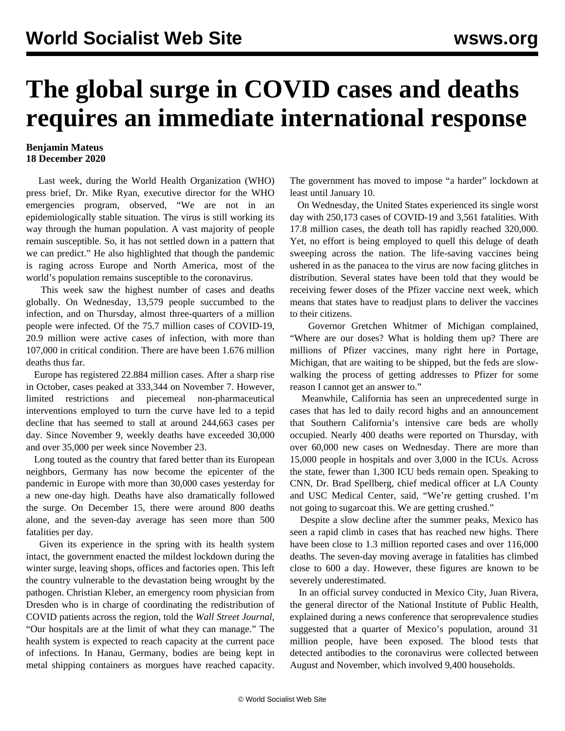## **The global surge in COVID cases and deaths requires an immediate international response**

## **Benjamin Mateus 18 December 2020**

 Last week, during the World Health Organization (WHO) press brief, Dr. Mike Ryan, executive director for the WHO emergencies program, observed, "We are not in an epidemiologically stable situation. The virus is still working its way through the human population. A vast majority of people remain susceptible. So, it has not settled down in a pattern that we can predict." He also highlighted that though the pandemic is raging across Europe and North America, most of the world's population remains susceptible to the coronavirus.

 This week saw the highest number of cases and deaths globally. On Wednesday, 13,579 people succumbed to the infection, and on Thursday, almost three-quarters of a million people were infected. Of the 75.7 million cases of COVID-19, 20.9 million were active cases of infection, with more than 107,000 in critical condition. There are have been 1.676 million deaths thus far.

 Europe has registered 22.884 million cases. After a sharp rise in October, cases peaked at 333,344 on November 7. However, limited restrictions and piecemeal non-pharmaceutical interventions employed to turn the curve have led to a tepid decline that has seemed to stall at around 244,663 cases per day. Since November 9, weekly deaths have exceeded 30,000 and over 35,000 per week since November 23.

 Long touted as the country that fared better than its European neighbors, Germany has now become the epicenter of the pandemic in Europe with more than 30,000 cases yesterday for a new one-day high. Deaths have also dramatically followed the surge. On December 15, there were around 800 deaths alone, and the seven-day average has seen more than 500 fatalities per day.

 Given its experience in the spring with its health system intact, the government enacted the mildest lockdown during the winter surge, leaving shops, offices and factories open. This left the country vulnerable to the devastation being wrought by the pathogen. Christian Kleber, an emergency room physician from Dresden who is in charge of coordinating the redistribution of COVID patients across the region, told the *Wall Street Journal*, "Our hospitals are at the limit of what they can manage." The health system is expected to reach capacity at the current pace of infections. In Hanau, Germany, bodies are being kept in metal shipping containers as morgues have reached capacity.

The government has moved to impose "a harder" lockdown at least until January 10.

 On Wednesday, the United States experienced its single worst day with 250,173 cases of COVID-19 and 3,561 fatalities. With 17.8 million cases, the death toll has rapidly reached 320,000. Yet, no effort is being employed to quell this deluge of death sweeping across the nation. The life-saving vaccines being ushered in as the panacea to the virus are now facing glitches in distribution. Several states have been told that they would be receiving fewer doses of the Pfizer vaccine next week, which means that states have to readjust plans to deliver the vaccines to their citizens.

 Governor Gretchen Whitmer of Michigan complained, "Where are our doses? What is holding them up? There are millions of Pfizer vaccines, many right here in Portage, Michigan, that are waiting to be shipped, but the feds are slowwalking the process of getting addresses to Pfizer for some reason I cannot get an answer to."

 Meanwhile, California has seen an unprecedented surge in cases that has led to daily record highs and an announcement that Southern California's intensive care beds are wholly occupied. Nearly 400 deaths were reported on Thursday, with over 60,000 new cases on Wednesday. There are more than 15,000 people in hospitals and over 3,000 in the ICUs. Across the state, fewer than 1,300 ICU beds remain open. Speaking to CNN, Dr. Brad Spellberg, chief medical officer at LA County and USC Medical Center, said, "We're getting crushed. I'm not going to sugarcoat this. We are getting crushed."

 Despite a slow decline after the summer peaks, Mexico has seen a rapid climb in cases that has reached new highs. There have been close to 1.3 million reported cases and over 116,000 deaths. The seven-day moving average in fatalities has climbed close to 600 a day. However, these figures are known to be severely underestimated.

 In an official survey conducted in Mexico City, Juan Rivera, the general director of the National Institute of Public Health, explained during a news conference that seroprevalence studies suggested that a quarter of Mexico's population, around 31 million people, have been exposed. The blood tests that detected antibodies to the coronavirus were collected between August and November, which involved 9,400 households.